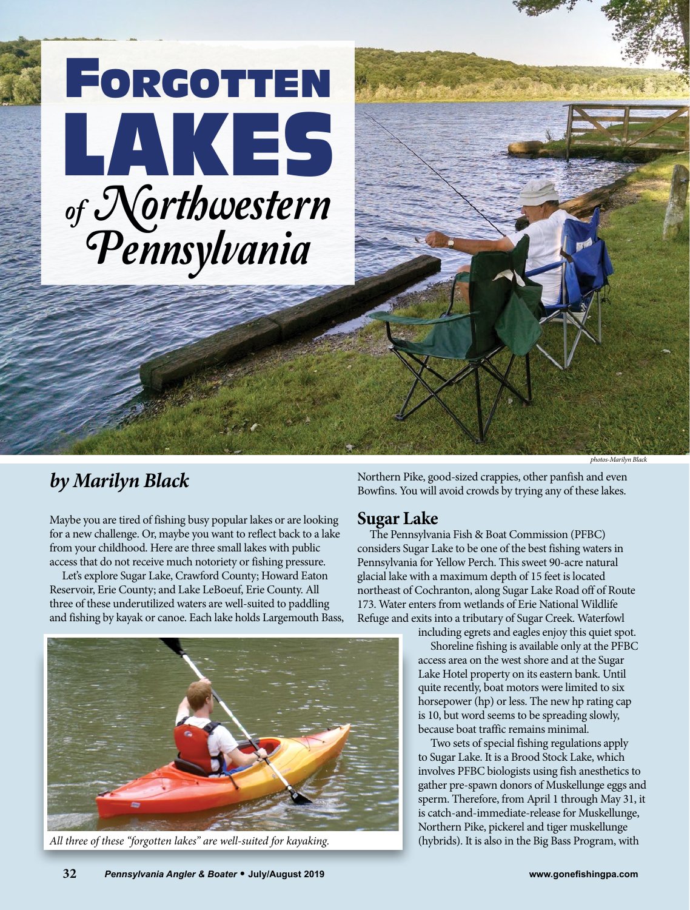

## *by Marilyn Black*

Maybe you are tired of fishing busy popular lakes or are looking for a new challenge. Or, maybe you want to reflect back to a lake from your childhood. Here are three small lakes with public access that do not receive much notoriety or fishing pressure.

Let's explore Sugar Lake, Crawford County; Howard Eaton Reservoir, Erie County; and Lake LeBoeuf, Erie County. All three of these underutilized waters are well-suited to paddling and fishing by kayak or canoe. Each lake holds Largemouth Bass,



*All three of these "forgotten lakes" are well-suited for kayaking.*

Northern Pike, good-sized crappies, other panfish and even Bowfins. You will avoid crowds by trying any of these lakes.

## **Sugar Lake**

The Pennsylvania Fish & Boat Commission (PFBC) considers Sugar Lake to be one of the best fishing waters in Pennsylvania for Yellow Perch. This sweet 90-acre natural glacial lake with a maximum depth of 15 feet is located northeast of Cochranton, along Sugar Lake Road off of Route 173. Water enters from wetlands of Erie National Wildlife Refuge and exits into a tributary of Sugar Creek. Waterfowl

including egrets and eagles enjoy this quiet spot.

Shoreline fishing is available only at the PFBC access area on the west shore and at the Sugar Lake Hotel property on its eastern bank. Until quite recently, boat motors were limited to six horsepower (hp) or less. The new hp rating cap is 10, but word seems to be spreading slowly, because boat traffic remains minimal.

Two sets of special fishing regulations apply to Sugar Lake. It is a Brood Stock Lake, which involves PFBC biologists using fish anesthetics to gather pre-spawn donors of Muskellunge eggs and sperm. Therefore, from April 1 through May 31, it is catch-and-immediate-release for Muskellunge, Northern Pike, pickerel and tiger muskellunge (hybrids). It is also in the Big Bass Program, with

*photos-Marilyn Black*